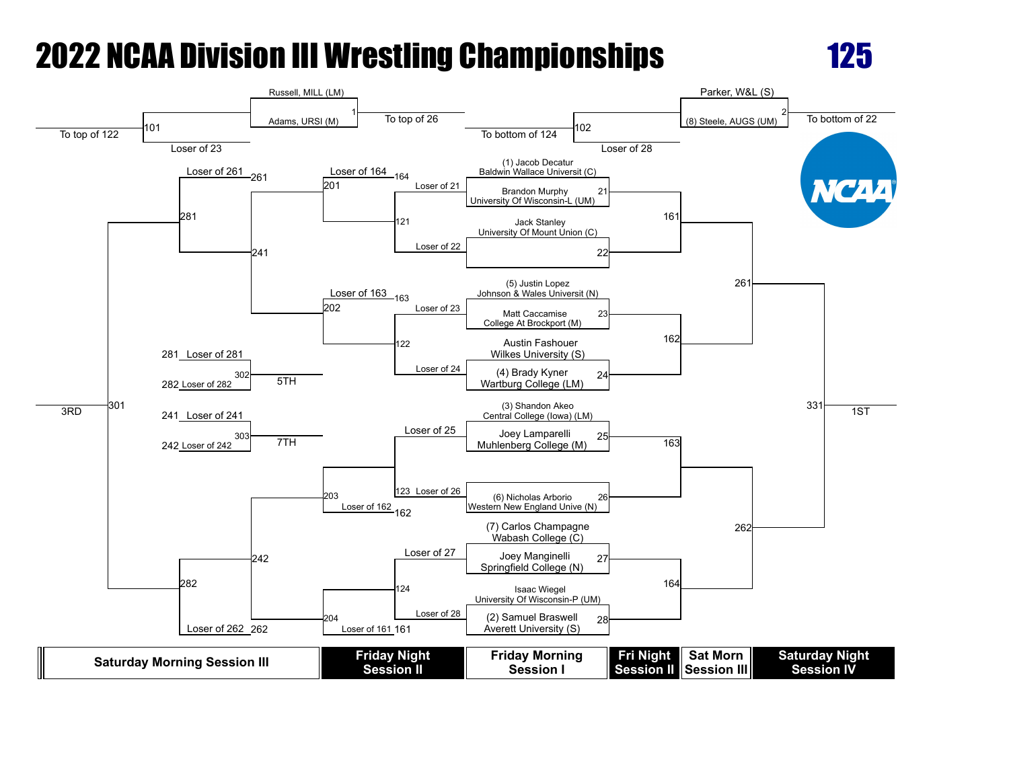

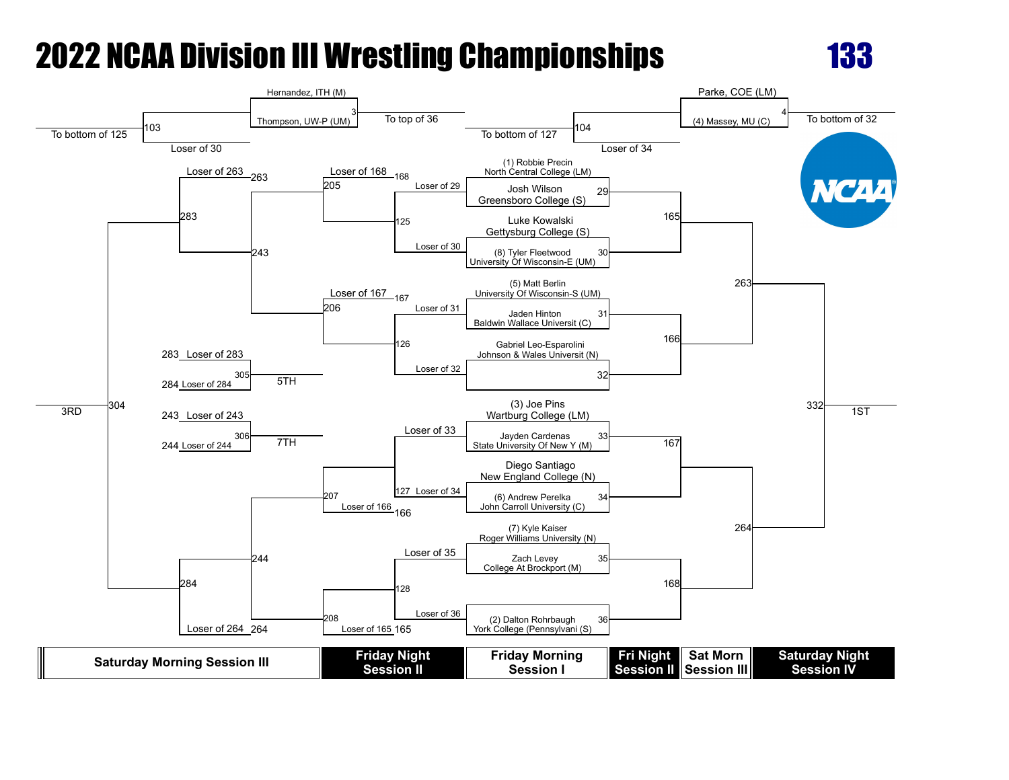

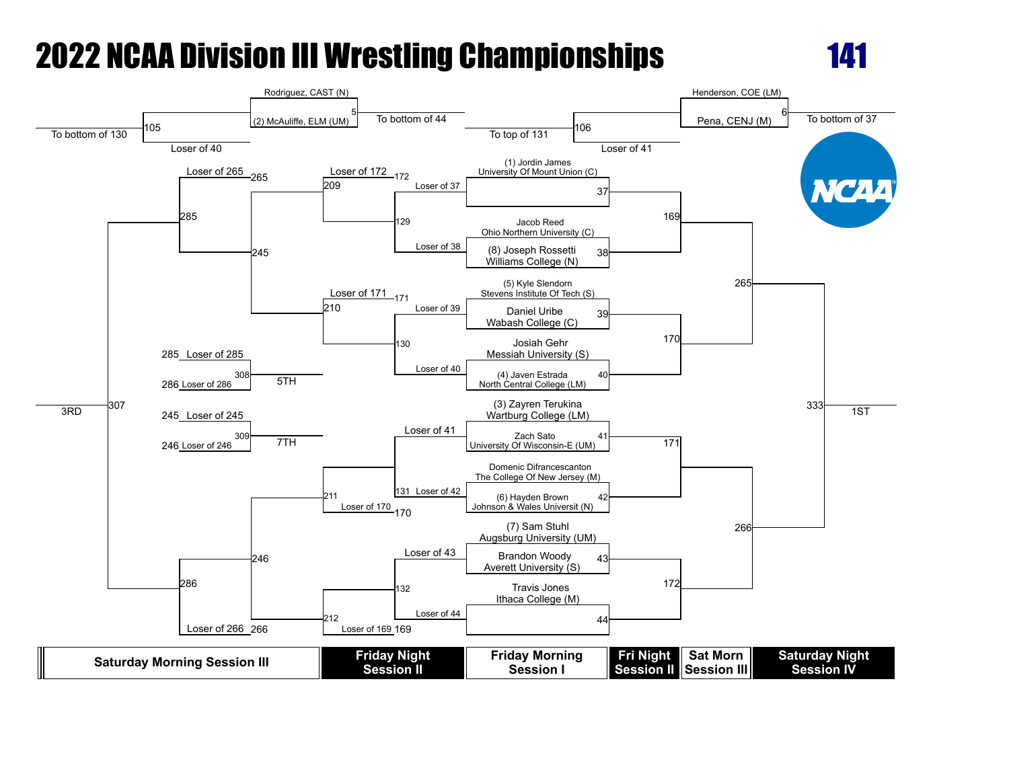

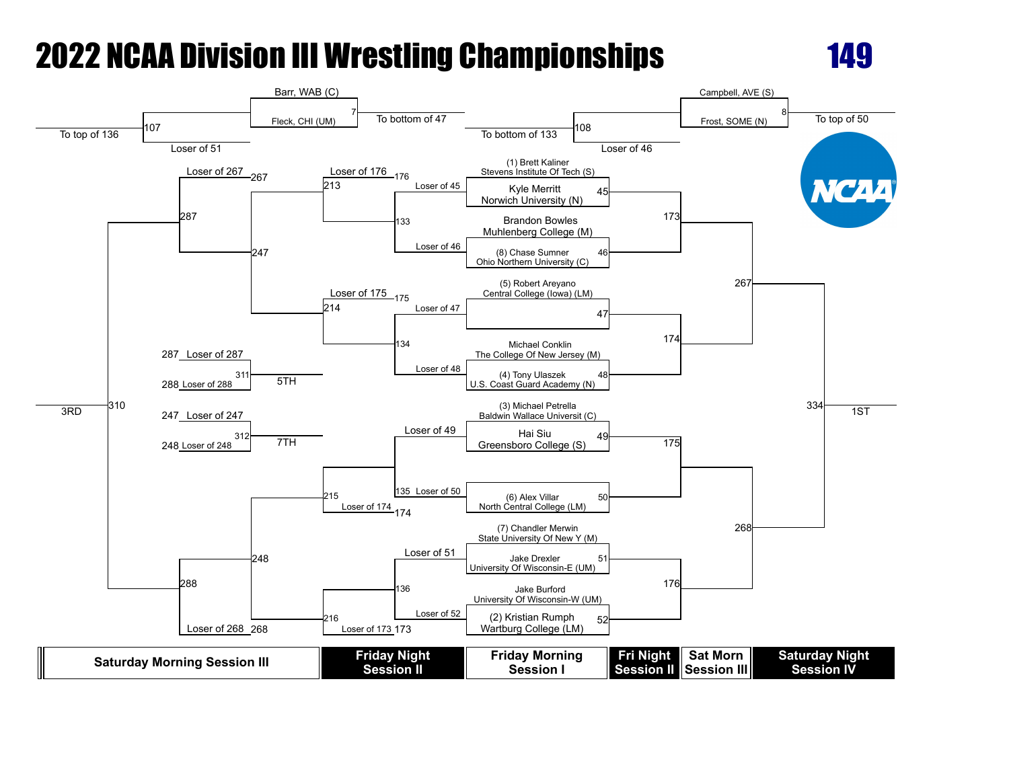

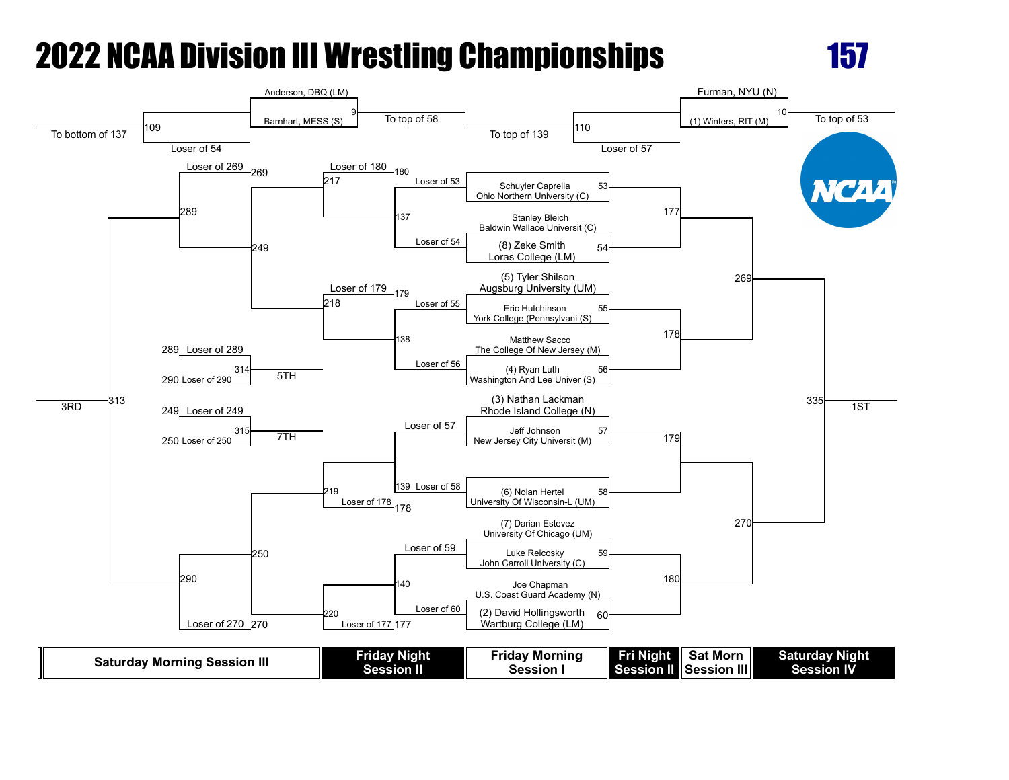

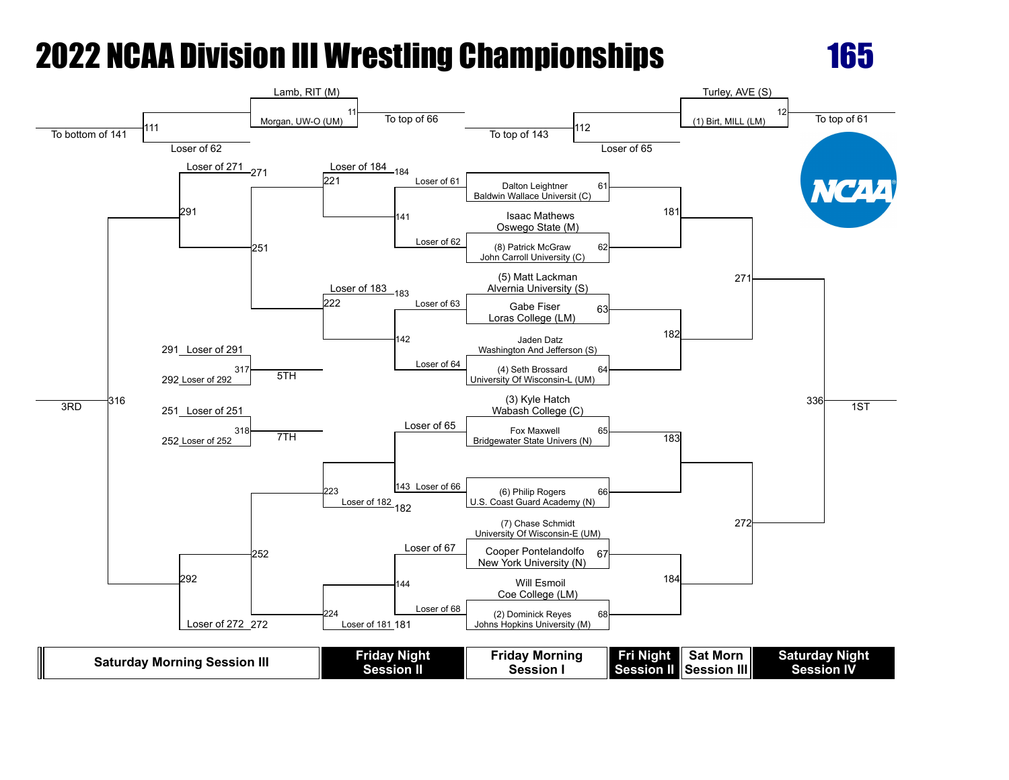

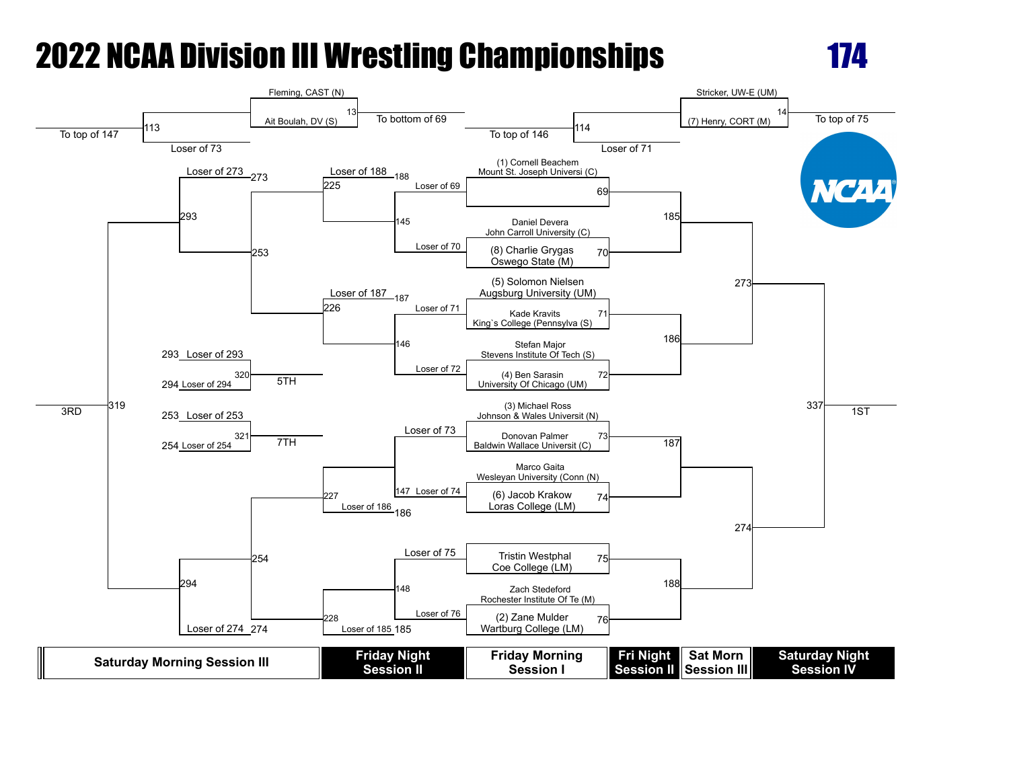

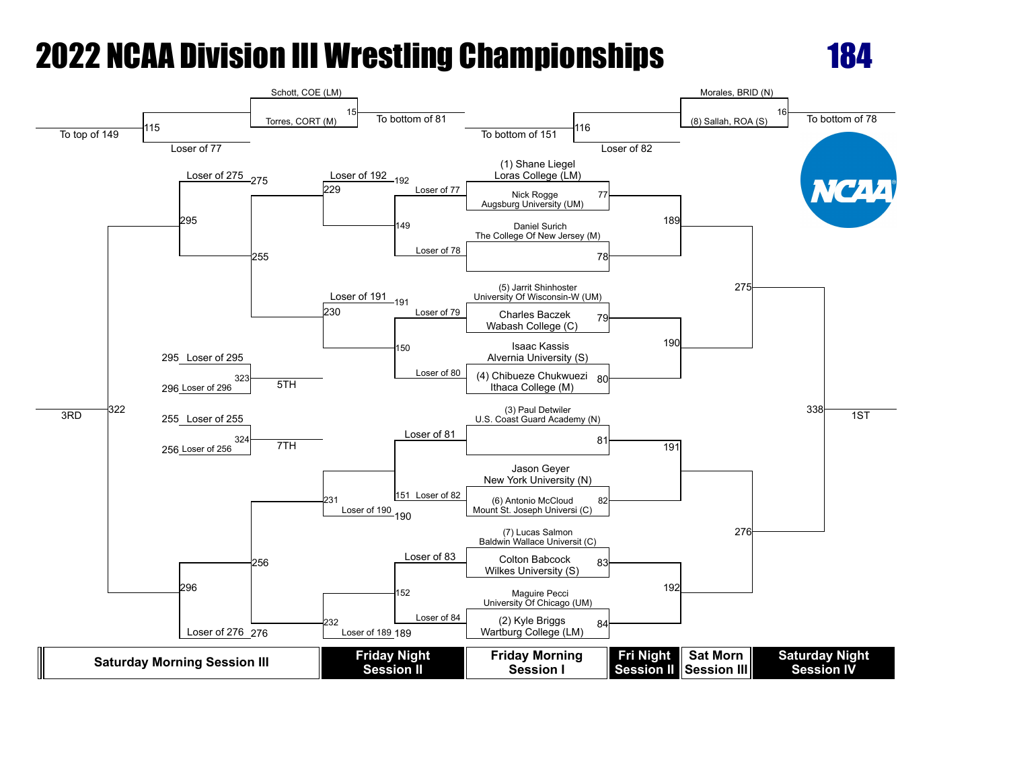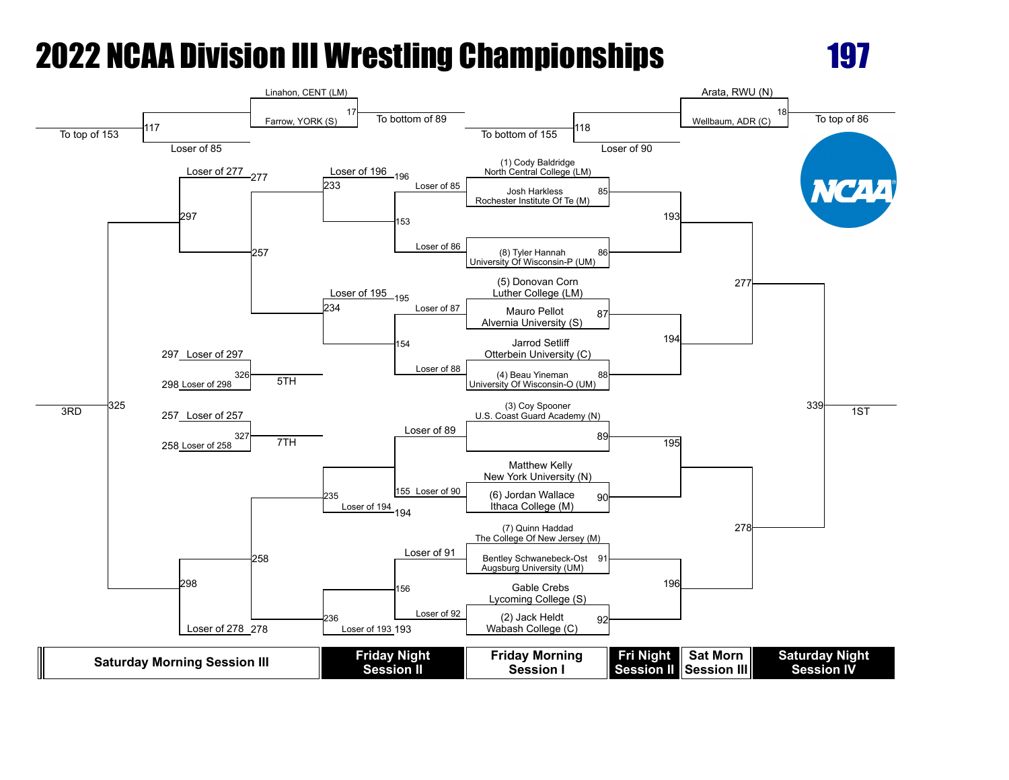